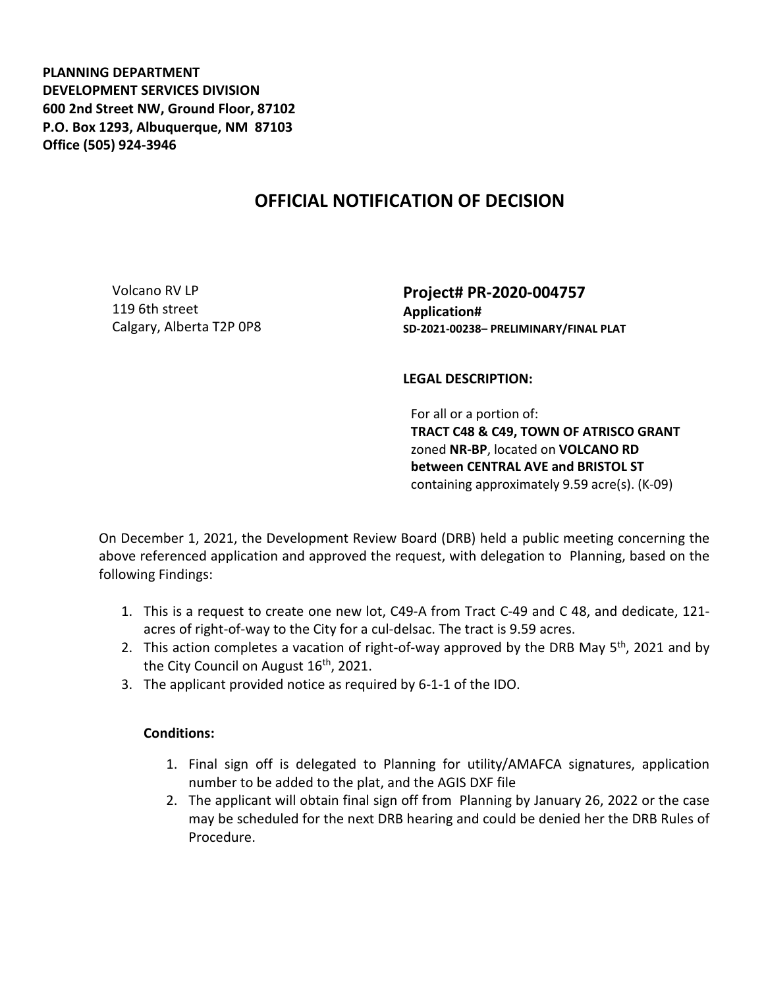**PLANNING DEPARTMENT DEVELOPMENT SERVICES DIVISION 600 2nd Street NW, Ground Floor, 87102 P.O. Box 1293, Albuquerque, NM 87103 Office (505) 924-3946** 

## **OFFICIAL NOTIFICATION OF DECISION**

Volcano RV LP 119 6th street Calgary, Alberta T2P 0P8 **Project# PR-2020-004757 Application# SD-2021-00238– PRELIMINARY/FINAL PLAT**

## **LEGAL DESCRIPTION:**

For all or a portion of: **TRACT C48 & C49, TOWN OF ATRISCO GRANT**  zoned **NR-BP**, located on **VOLCANO RD between CENTRAL AVE and BRISTOL ST**  containing approximately 9.59 acre(s). (K-09)

On December 1, 2021, the Development Review Board (DRB) held a public meeting concerning the above referenced application and approved the request, with delegation to Planning, based on the following Findings:

- 1. This is a request to create one new lot, C49-A from Tract C-49 and C 48, and dedicate, 121 acres of right-of-way to the City for a cul-delsac. The tract is 9.59 acres.
- 2. This action completes a vacation of right-of-way approved by the DRB May  $5<sup>th</sup>$ , 2021 and by the City Council on August 16<sup>th</sup>, 2021.
- 3. The applicant provided notice as required by 6-1-1 of the IDO.

## **Conditions:**

- 1. Final sign off is delegated to Planning for utility/AMAFCA signatures, application number to be added to the plat, and the AGIS DXF file
- 2. The applicant will obtain final sign off from Planning by January 26, 2022 or the case may be scheduled for the next DRB hearing and could be denied her the DRB Rules of Procedure.